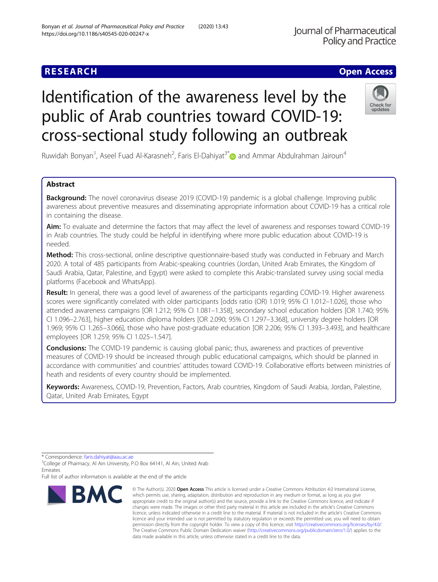## **RESEARCH CHE Open Access**

# Identification of the awareness level by the public of Arab countries toward COVID-19: cross-sectional study following an outbreak

Ruwidah Bonyan<sup>1</sup>, Aseel Fuad Al-Karasneh<sup>2</sup>, Faris El-Dahiyat<sup>3[\\*](http://orcid.org/0000-0002-5264-8699)</sup> $\bullet$  and Ammar Abdulrahman Jairoun<sup>4</sup>

### Abstract

**Background:** The novel coronavirus disease 2019 (COVID-19) pandemic is a global challenge. Improving public awareness about preventive measures and disseminating appropriate information about COVID-19 has a critical role in containing the disease.

Aim: To evaluate and determine the factors that may affect the level of awareness and responses toward COVID-19 in Arab countries. The study could be helpful in identifying where more public education about COVID-19 is needed.

Method: This cross-sectional, online descriptive questionnaire-based study was conducted in February and March 2020. A total of 485 participants from Arabic-speaking countries (Jordan, United Arab Emirates, the Kingdom of Saudi Arabia, Qatar, Palestine, and Egypt) were asked to complete this Arabic-translated survey using social media platforms (Facebook and WhatsApp).

Result: In general, there was a good level of awareness of the participants regarding COVID-19. Higher awareness scores were significantly correlated with older participants [odds ratio (OR) 1.019; 95% CI 1.012–1.026], those who attended awareness campaigns [OR 1.212; 95% CI 1.081–1.358], secondary school education holders [OR 1.740; 95% CI 1.096–2.763], higher education diploma holders [OR 2.090; 95% CI 1.297–3.368], university degree holders [OR 1.969; 95% CI 1.265–3.066], those who have post-graduate education [OR 2.206; 95% CI 1.393–3.493], and healthcare employees [OR 1.259; 95% CI 1.025–1.547].

**Conclusions:** The COVID-19 pandemic is causing global panic; thus, awareness and practices of preventive measures of COVID-19 should be increased through public educational campaigns, which should be planned in accordance with communities' and countries' attitudes toward COVID-19. Collaborative efforts between ministries of heath and residents of every country should be implemented.

Keywords: Awareness, COVID-19, Prevention, Factors, Arab countries, Kingdom of Saudi Arabia, Jordan, Palestine, Qatar, United Arab Emirates, Egypt



<sup>©</sup> The Author(s), 2020 **Open Access** This article is licensed under a Creative Commons Attribution 4.0 International License, which permits use, sharing, adaptation, distribution and reproduction in any medium or format, as long as you give appropriate credit to the original author(s) and the source, provide a link to the Creative Commons licence, and indicate if changes were made. The images or other third party material in this article are included in the article's Creative Commons licence, unless indicated otherwise in a credit line to the material. If material is not included in the article's Creative Commons licence and your intended use is not permitted by statutory regulation or exceeds the permitted use, you will need to obtain permission directly from the copyright holder. To view a copy of this licence, visit [http://creativecommons.org/licenses/by/4.0/.](http://creativecommons.org/licenses/by/4.0/) The Creative Commons Public Domain Dedication waiver [\(http://creativecommons.org/publicdomain/zero/1.0/](http://creativecommons.org/publicdomain/zero/1.0/)) applies to the data made available in this article, unless otherwise stated in a credit line to the data.



<sup>\*</sup> Correspondence: [faris.dahiyat@aau.ac.ae](mailto:faris.dahiyat@aau.ac.ae) <sup>3</sup>

<sup>&</sup>lt;sup>3</sup>College of Pharmacy, Al Ain University, P.O Box 64141, Al Ain, United Arab Emirates

Full list of author information is available at the end of the article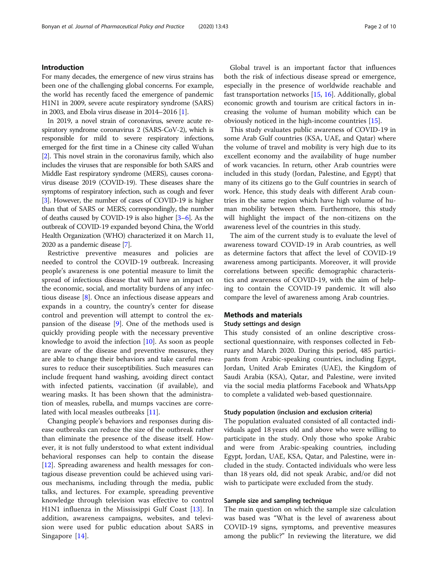#### Introduction

For many decades, the emergence of new virus strains has been one of the challenging global concerns. For example, the world has recently faced the emergence of pandemic H1N1 in 2009, severe acute respiratory syndrome (SARS) in 2003, and Ebola virus disease in 2014–2016 [[1](#page-8-0)].

In 2019, a novel strain of coronavirus, severe acute respiratory syndrome coronavirus 2 (SARS-CoV-2), which is responsible for mild to severe respiratory infections, emerged for the first time in a Chinese city called Wuhan [[2](#page-8-0)]. This novel strain in the coronavirus family, which also includes the viruses that are responsible for both SARS and Middle East respiratory syndrome (MERS), causes coronavirus disease 2019 (COVID-19). These diseases share the symptoms of respiratory infection, such as cough and fever [[3](#page-8-0)]. However, the number of cases of COVID-19 is higher than that of SARS or MERS; correspondingly, the number of deaths caused by COVID-19 is also higher [\[3](#page-8-0)–[6\]](#page-9-0). As the outbreak of COVID-19 expanded beyond China, the World Health Organization (WHO) characterized it on March 11, 2020 as a pandemic disease [\[7\]](#page-9-0).

Restrictive preventive measures and policies are needed to control the COVID-19 outbreak. Increasing people's awareness is one potential measure to limit the spread of infectious disease that will have an impact on the economic, social, and mortality burdens of any infectious disease [[8\]](#page-9-0). Once an infectious disease appears and expands in a country, the country's center for disease control and prevention will attempt to control the expansion of the disease [\[9](#page-9-0)]. One of the methods used is quickly providing people with the necessary preventive knowledge to avoid the infection [[10\]](#page-9-0). As soon as people are aware of the disease and preventive measures, they are able to change their behaviors and take careful measures to reduce their susceptibilities. Such measures can include frequent hand washing, avoiding direct contact with infected patients, vaccination (if available), and wearing masks. It has been shown that the administration of measles, rubella, and mumps vaccines are correlated with local measles outbreaks [[11](#page-9-0)].

Changing people's behaviors and responses during disease outbreaks can reduce the size of the outbreak rather than eliminate the presence of the disease itself. However, it is not fully understood to what extent individual behavioral responses can help to contain the disease [[12\]](#page-9-0). Spreading awareness and health messages for contagious disease prevention could be achieved using various mechanisms, including through the media, public talks, and lectures. For example, spreading preventive knowledge through television was effective to control H1N1 influenza in the Mississippi Gulf Coast [[13](#page-9-0)]. In addition, awareness campaigns, websites, and television were used for public education about SARS in Singapore [\[14](#page-9-0)].

Global travel is an important factor that influences both the risk of infectious disease spread or emergence, especially in the presence of worldwide reachable and fast transportation networks [\[15](#page-9-0), [16\]](#page-9-0). Additionally, global economic growth and tourism are critical factors in increasing the volume of human mobility which can be obviously noticed in the high-income countries [[15](#page-9-0)].

This study evaluates public awareness of COVID-19 in some Arab Gulf countries (KSA, UAE, and Qatar) where the volume of travel and mobility is very high due to its excellent economy and the availability of huge number of work vacancies. In return, other Arab countries were included in this study (Jordan, Palestine, and Egypt) that many of its citizens go to the Gulf countries in search of work. Hence, this study deals with different Arab countries in the same region which have high volume of human mobility between them. Furthermore, this study will highlight the impact of the non-citizens on the awareness level of the countries in this study.

The aim of the current study is to evaluate the level of awareness toward COVID-19 in Arab countries, as well as determine factors that affect the level of COVID-19 awareness among participants. Moreover, it will provide correlations between specific demographic characteristics and awareness of COVID-19, with the aim of helping to contain the COVID-19 pandemic. It will also compare the level of awareness among Arab countries.

#### Methods and materials

#### Study settings and design

This study consisted of an online descriptive crosssectional questionnaire, with responses collected in February and March 2020. During this period, 485 participants from Arabic-speaking countries, including Egypt, Jordan, United Arab Emirates (UAE), the Kingdom of Saudi Arabia (KSA), Qatar, and Palestine, were invited via the social media platforms Facebook and WhatsApp to complete a validated web-based questionnaire.

#### Study population (inclusion and exclusion criteria)

The population evaluated consisted of all contacted individuals aged 18 years old and above who were willing to participate in the study. Only those who spoke Arabic and were from Arabic-speaking countries, including Egypt, Jordan, UAE, KSA, Qatar, and Palestine, were included in the study. Contacted individuals who were less than 18 years old, did not speak Arabic, and/or did not wish to participate were excluded from the study.

#### Sample size and sampling technique

The main question on which the sample size calculation was based was "What is the level of awareness about COVID-19 signs, symptoms, and preventive measures among the public?" In reviewing the literature, we did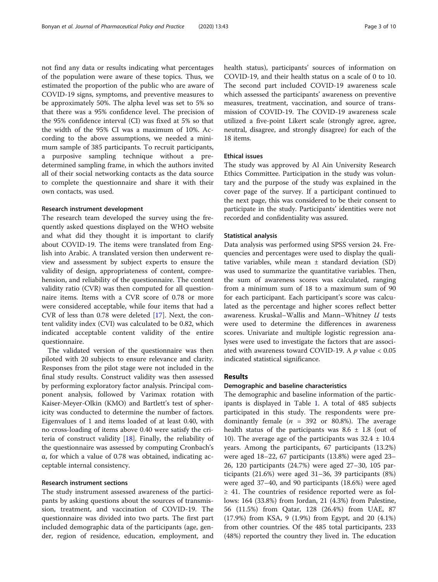not find any data or results indicating what percentages of the population were aware of these topics. Thus, we estimated the proportion of the public who are aware of COVID-19 signs, symptoms, and preventive measures to be approximately 50%. The alpha level was set to 5% so that there was a 95% confidence level. The precision of the 95% confidence interval (CI) was fixed at 5% so that the width of the 95% CI was a maximum of 10%. According to the above assumptions, we needed a minimum sample of 385 participants. To recruit participants, a purposive sampling technique without a predetermined sampling frame, in which the authors invited all of their social networking contacts as the data source to complete the questionnaire and share it with their own contacts, was used.

#### Research instrument development

The research team developed the survey using the frequently asked questions displayed on the WHO website and what did they thought it is important to clarify about COVID-19. The items were translated from English into Arabic. A translated version then underwent review and assessment by subject experts to ensure the validity of design, appropriateness of content, comprehension, and reliability of the questionnaire. The content validity ratio (CVR) was then computed for all questionnaire items. Items with a CVR score of 0.78 or more were considered acceptable, while four items that had a CVR of less than 0.78 were deleted [\[17\]](#page-9-0). Next, the content validity index (CVI) was calculated to be 0.82, which indicated acceptable content validity of the entire questionnaire.

The validated version of the questionnaire was then piloted with 20 subjects to ensure relevance and clarity. Responses from the pilot stage were not included in the final study results. Construct validity was then assessed by performing exploratory factor analysis. Principal component analysis, followed by Varimax rotation with Kaiser-Meyer-Olkin (KMO) and Bartlett's test of sphericity was conducted to determine the number of factors. Eigenvalues of 1 and items loaded of at least 0.40, with no cross-loading of items above 0.40 were satisfy the criteria of construct validity [[18](#page-9-0)]. Finally, the reliability of the questionnaire was assessed by computing Cronbach's α, for which a value of 0.78 was obtained, indicating acceptable internal consistency.

#### Research instrument sections

The study instrument assessed awareness of the participants by asking questions about the sources of transmission, treatment, and vaccination of COVID-19. The questionnaire was divided into two parts. The first part included demographic data of the participants (age, gender, region of residence, education, employment, and health status), participants' sources of information on COVID-19, and their health status on a scale of 0 to 10. The second part included COVID-19 awareness scale which assessed the participants' awareness on preventive measures, treatment, vaccination, and source of transmission of COVID-19. The COVID-19 awareness scale utilized a five-point Likert scale (strongly agree, agree, neutral, disagree, and strongly disagree) for each of the 18 items.

#### Ethical issues

The study was approved by Al Ain University Research Ethics Committee. Participation in the study was voluntary and the purpose of the study was explained in the cover page of the survey. If a participant continued to the next page, this was considered to be their consent to participate in the study. Participants' identities were not recorded and confidentiality was assured.

#### Statistical analysis

Data analysis was performed using SPSS version 24. Frequencies and percentages were used to display the qualitative variables, while mean  $\pm$  standard deviation (SD) was used to summarize the quantitative variables. Then, the sum of awareness scores was calculated, ranging from a minimum sum of 18 to a maximum sum of 90 for each participant. Each participant's score was calculated as the percentage and higher scores reflect better awareness. Kruskal–Wallis and Mann–Whitney U tests were used to determine the differences in awareness scores. Univariate and multiple logistic regression analyses were used to investigate the factors that are associated with awareness toward COVID-19. A  $p$  value  $< 0.05$ indicated statistical significance.

#### Results

#### Demographic and baseline characteristics

The demographic and baseline information of the participants is displayed in Table [1.](#page-3-0) A total of 485 subjects participated in this study. The respondents were predominantly female ( $n = 392$  or 80.8%). The average health status of the participants was  $8.6 \pm 1.8$  (out of 10). The average age of the participants was  $32.4 \pm 10.4$ years. Among the participants, 67 participants (13.2%) were aged 18–22, 67 participants (13.8%) were aged 23– 26, 120 participants (24.7%) were aged 27–30, 105 participants (21.6%) were aged 31–36, 39 participants (8%) were aged 37–40, and 90 participants (18.6%) were aged ≥ 41. The countries of residence reported were as follows: 164 (33.8%) from Jordan, 21 (4.3%) from Palestine, 56 (11.5%) from Qatar, 128 (26.4%) from UAE, 87 (17.9%) from KSA, 9 (1.9%) from Egypt, and 20 (4.1%) from other countries. Of the 485 total participants, 233 (48%) reported the country they lived in. The education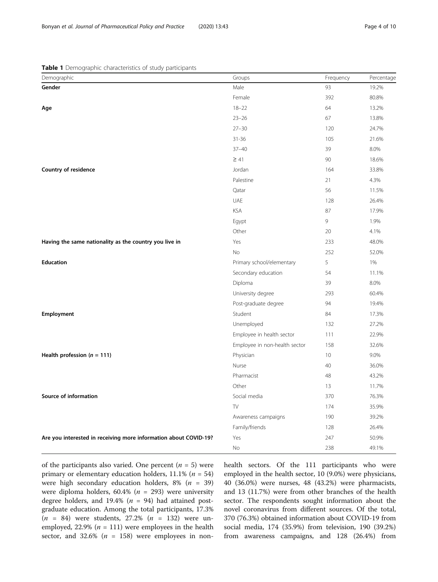<span id="page-3-0"></span>Table 1 Demographic characteristics of study participants

| Demographic                                                      | Groups                        | Frequency | Percentage |
|------------------------------------------------------------------|-------------------------------|-----------|------------|
| Gender                                                           | Male                          | 93        | 19.2%      |
|                                                                  | Female                        | 392       | 80.8%      |
| Age                                                              | $18 - 22$                     | 64        | 13.2%      |
|                                                                  | $23 - 26$                     | 67        | 13.8%      |
|                                                                  | $27 - 30$                     | 120       | 24.7%      |
|                                                                  | $31 - 36$                     | 105       | 21.6%      |
|                                                                  | $37 - 40$                     | 39        | 8.0%       |
|                                                                  | $\geq 41$                     | 90        | 18.6%      |
| Country of residence                                             | Jordan                        | 164       | 33.8%      |
|                                                                  | Palestine                     | 21        | 4.3%       |
|                                                                  | Qatar                         | 56        | 11.5%      |
|                                                                  | UAE                           | 128       | 26.4%      |
|                                                                  | <b>KSA</b>                    | 87        | 17.9%      |
|                                                                  | Egypt                         | 9         | 1.9%       |
|                                                                  | Other                         | 20        | 4.1%       |
| Having the same nationality as the country you live in           | Yes                           | 233       | 48.0%      |
|                                                                  | <b>No</b>                     | 252       | 52.0%      |
| <b>Education</b>                                                 | Primary school/elementary     | 5         | 1%         |
|                                                                  | Secondary education           | 54        | 11.1%      |
|                                                                  | Diploma                       | 39        | 8.0%       |
|                                                                  | University degree             | 293       | 60.4%      |
|                                                                  | Post-graduate degree          | 94        | 19.4%      |
| Employment                                                       | Student                       | 84        | 17.3%      |
|                                                                  | Unemployed                    | 132       | 27.2%      |
|                                                                  | Employee in health sector     | 111       | 22.9%      |
|                                                                  | Employee in non-health sector | 158       | 32.6%      |
| Health profession ( $n = 111$ )                                  | Physician                     | 10        | 9.0%       |
|                                                                  | Nurse                         | 40        | 36.0%      |
|                                                                  | Pharmacist                    | 48        | 43.2%      |
|                                                                  | Other                         | 13        | 11.7%      |
| Source of information                                            | Social media                  | 370       | 76.3%      |
|                                                                  | TV                            | 174       | 35.9%      |
|                                                                  | Awareness campaigns           | 190       | 39.2%      |
|                                                                  | Family/friends                | 128       | 26.4%      |
| Are you interested in receiving more information about COVID-19? | Yes                           | 247       | 50.9%      |
|                                                                  | No                            | 238       | 49.1%      |

of the participants also varied. One percent  $(n = 5)$  were primary or elementary education holders,  $11.1\%$  ( $n = 54$ ) were high secondary education holders,  $8\%$  ( $n = 39$ ) were diploma holders,  $60.4\%$  ( $n = 293$ ) were university degree holders, and 19.4% ( $n = 94$ ) had attained postgraduate education. Among the total participants, 17.3%  $(n = 84)$  were students, 27.2%  $(n = 132)$  were unemployed, 22.9% ( $n = 111$ ) were employees in the health sector, and 32.6% ( $n = 158$ ) were employees in nonhealth sectors. Of the 111 participants who were employed in the health sector, 10 (9.0%) were physicians, 40 (36.0%) were nurses, 48 (43.2%) were pharmacists, and 13 (11.7%) were from other branches of the health sector. The respondents sought information about the novel coronavirus from different sources. Of the total, 370 (76.3%) obtained information about COVID-19 from social media, 174 (35.9%) from television, 190 (39.2%) from awareness campaigns, and 128 (26.4%) from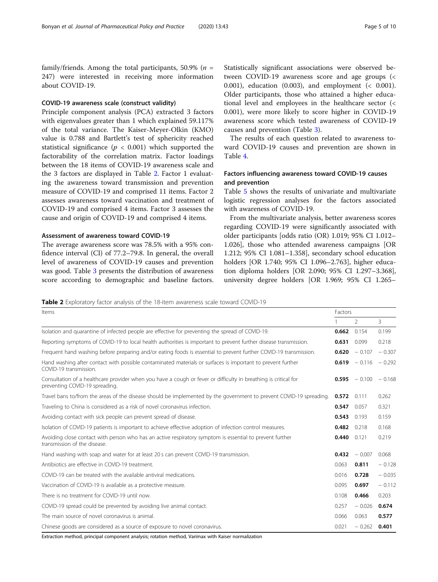family/friends. Among the total participants, 50.9% ( $n =$ 247) were interested in receiving more information about COVID-19.

#### COVID-19 awareness scale (construct validity)

Principle component analysis (PCA) extracted 3 factors with eigenvalues greater than 1 which explained 59.117% of the total variance. The Kaiser-Meyer-Olkin (KMO) value is 0.788 and Bartlett's test of sphericity reached statistical significance ( $p < 0.001$ ) which supported the factorability of the correlation matrix. Factor loadings between the 18 items of COVID-19 awareness scale and the 3 factors are displayed in Table 2. Factor 1 evaluating the awareness toward transmission and prevention measure of COVID-19 and comprised 11 items. Factor 2 assesses awareness toward vaccination and treatment of COVID-19 and comprised 4 items. Factor 3 assesses the cause and origin of COVID-19 and comprised 4 items.

#### Assessment of awareness toward COVID-19

The average awareness score was 78.5% with a 95% confidence interval (CI) of 77.2–79.8. In general, the overall level of awareness of COVID-19 causes and prevention was good. Table [3](#page-5-0) presents the distribution of awareness score according to demographic and baseline factors. Statistically significant associations were observed between COVID-19 awareness score and age groups (< 0.001), education (0.003), and employment (< 0.001). Older participants, those who attained a higher educational level and employees in the healthcare sector (< 0.001), were more likely to score higher in COVID-19 awareness score which tested awareness of COVID-19 causes and prevention (Table [3\)](#page-5-0).

The results of each question related to awareness toward COVID-19 causes and prevention are shown in Table [4.](#page-6-0)

#### Factors influencing awareness toward COVID-19 causes and prevention

Table [5](#page-7-0) shows the results of univariate and multivariate logistic regression analyses for the factors associated with awareness of COVID-19.

From the multivariate analysis, better awareness scores regarding COVID-19 were significantly associated with older participants [odds ratio (OR) 1.019; 95% CI 1.012– 1.026], those who attended awareness campaigns [OR 1.212; 95% CI 1.081–1.358], secondary school education holders [OR 1.740; 95% CI 1.096–2.763], higher education diploma holders [OR 2.090; 95% CI 1.297–3.368], university degree holders [OR 1.969; 95% CI 1.265–

**Table 2** Exploratory factor analysis of the 18-item awareness scale toward COVID-19

| Items                                                                                                                                             |       |                 | Factors  |  |  |  |
|---------------------------------------------------------------------------------------------------------------------------------------------------|-------|-----------------|----------|--|--|--|
|                                                                                                                                                   |       | $\mathcal{P}$   | 3        |  |  |  |
| Isolation and quarantine of infected people are effective for preventing the spread of COVID-19.                                                  | 0.662 | 0.154           | 0.199    |  |  |  |
| Reporting symptoms of COVID-19 to local health authorities is important to prevent further disease transmission.                                  | 0.631 | 0.099           | 0.218    |  |  |  |
| Frequent hand washing before preparing and/or eating foods is essential to prevent further COVID-19 transmission.                                 | 0.620 | $-0.107$        | $-0.307$ |  |  |  |
| Hand washing after contact with possible contaminated materials or surfaces is important to prevent further<br>COVID-19 transmission.             | 0.619 | $-0.116$        | $-0.292$ |  |  |  |
| Consultation of a healthcare provider when you have a cough or fever or difficulty in breathing is critical for<br>preventing COVID-19 spreading. |       | $0.595 - 0.100$ | $-0.168$ |  |  |  |
| Travel bans to/from the areas of the disease should be implemented by the government to prevent COVID-19 spreading.                               | 0.572 | 0.111           | 0.262    |  |  |  |
| Traveling to China is considered as a risk of novel coronavirus infection.                                                                        | 0.547 | 0.057           | 0.321    |  |  |  |
| Avoiding contact with sick people can prevent spread of disease.                                                                                  | 0.543 | 0.193           | 0.159    |  |  |  |
| Isolation of COVID-19 patients is important to achieve effective adoption of infection control measures.                                          | 0.482 | 0.218           | 0.168    |  |  |  |
| Avoiding close contact with person who has an active respiratory symptom is essential to prevent further<br>transmission of the disease.          | 0.440 | 0.121           | 0.219    |  |  |  |
| Hand washing with soap and water for at least 20 s can prevent COVID-19 transmission.                                                             | 0.432 | $-0.007$        | 0.068    |  |  |  |
| Antibiotics are effective in COVID-19 treatment.                                                                                                  | 0.063 | 0.811           | $-0.128$ |  |  |  |
| COVID-19 can be treated with the available antiviral medications.                                                                                 | 0.016 | 0.728           | $-0.035$ |  |  |  |
| Vaccination of COVID-19 is available as a protective measure.                                                                                     | 0.095 | 0.697           | $-0.112$ |  |  |  |
| There is no treatment for COVID-19 until now.                                                                                                     | 0.108 | 0.466           | 0.203    |  |  |  |
| COVID-19 spread could be prevented by avoiding live animal contact.                                                                               | 0.257 | $-0.026$        | 0.674    |  |  |  |
| The main source of novel coronavirus is animal.                                                                                                   | 0.066 | 0.063           | 0.577    |  |  |  |
| Chinese goods are considered as a source of exposure to novel coronavirus.                                                                        | 0.021 | $-0.262$        | 0.401    |  |  |  |

Extraction method, principal component analysis; rotation method, Varimax with Kaiser normalization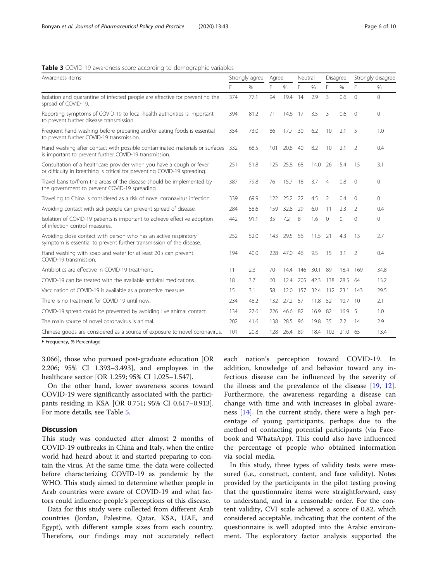#### <span id="page-5-0"></span>Table 3 COVID-19 awareness score according to demographic variables

| Awareness items                                                                                                                                   |     | Strongly agree |     | Agree |      | Neutral |                | Disagree | Strongly disagree |          |
|---------------------------------------------------------------------------------------------------------------------------------------------------|-----|----------------|-----|-------|------|---------|----------------|----------|-------------------|----------|
|                                                                                                                                                   | F.  | $\%$           | F   | %     | F    | %       | F              | $\%$     | F                 | $\%$     |
| Isolation and quarantine of infected people are effective for preventing the<br>spread of COVID-19.                                               | 374 | 77.1           | 94  | 19.4  | 14   | 2.9     | 3              | 0.6      | $\Omega$          | $\Omega$ |
| Reporting symptoms of COVID-19 to local health authorities is important<br>to prevent further disease transmission.                               | 394 | 81.2           | 71  | 14.6  | 17   | 3.5     | 3              | 0.6      | $\overline{0}$    | $\Omega$ |
| Frequent hand washing before preparing and/or eating foods is essential<br>to prevent further COVID-19 transmission.                              | 354 | 73.0           | 86  | 17.7  | 30   | 6.2     | 10             | 2.1      | 5                 | 1.0      |
| Hand washing after contact with possible contaminated materials or surfaces 332<br>is important to prevent further COVID-19 transmission.         |     | 68.5           | 101 | 20.8  | 40   | 8.2     | 10             | 2.1      | 2                 | 0.4      |
| Consultation of a healthcare provider when you have a cough or fever<br>or difficulty in breathing is critical for preventing COVID-19 spreading. | 251 | 51.8           | 125 | 25.8  | 68   | 14.0    | 26             | 5.4      | 15                | 3.1      |
| Travel bans to/from the areas of the disease should be implemented by<br>the government to prevent COVID-19 spreading.                            | 387 | 79.8           | 76  | 15.7  | - 18 | 3.7     | $\overline{4}$ | 0.8      | $\Omega$          | $\Omega$ |
| Traveling to China is considered as a risk of novel coronavirus infection.                                                                        | 339 | 69.9           | 122 | 25.2  | 22   | 4.5     | 2              | 0.4      | $\Omega$          | $\Omega$ |
| Avoiding contact with sick people can prevent spread of disease.                                                                                  | 284 | 58.6           | 159 | 32.8  | 29   | 6.0     | 11             | 2.3      | $\overline{2}$    | 0.4      |
| Isolation of COVID-19 patients is important to achieve effective adoption<br>of infection control measures.                                       |     | 91.1           | 35  | 7.2   | 8    | 1.6     | $\Omega$       | $\Omega$ | $\Omega$          | $\Omega$ |
| Avoiding close contact with person who has an active respiratory<br>symptom is essential to prevent further transmission of the disease.          | 252 | 52.0           | 143 | 29.5  | 56   | 11.5    | 21             | 4.3      | 13                | 2.7      |
| Hand washing with soap and water for at least 20 s can prevent<br>COVID-19 transmission.                                                          |     | 40.0           | 228 | 47.0  | - 46 | 9.5     | 15             | 3.1      | $\mathfrak{D}$    | 0.4      |
| Antibiotics are effective in COVID-19 treatment.                                                                                                  | 11  | 2.3            | 70  | 14.4  | 146  | 30.1    | 89             | 18.4 169 |                   | 34.8     |
| COVID-19 can be treated with the available antiviral medications.                                                                                 | 18  | 3.7            | 60  | 12.4  | 205  | 42.3    | 138            | 28.5     | 64                | 13.2     |
| Vaccination of COVID-19 is available as a protective measure.                                                                                     | 15  | 3.1            | 58  | 12.0  | 157  | 32.4    | 112            | 23.1     | - 143             | 29.5     |
| There is no treatment for COVID-19 until now.                                                                                                     | 234 | 48.2           | 132 | 27.2  | 57   | 11.8    | 52             | 10.7     | -10               | 2.1      |
| COVID-19 spread could be prevented by avoiding live animal contact.                                                                               | 134 | 27.6           | 226 | 46.6  | 82   | 16.9    | 82             | 16.9     | - 5               | 1.0      |
| The main source of novel coronavirus is animal.                                                                                                   | 202 | 41.6           | 138 | 28.5  | 96   | 19.8    | 35             | 7.2      | 14                | 2.9      |
| Chinese goods are considered as a source of exposure to novel coronavirus.                                                                        | 101 | 20.8           | 128 | 26.4  | 89   | 18.4    | 102            | 21.0     | -65               | 13.4     |

F Frequency, % Percentage

3.066], those who pursued post-graduate education [OR 2.206; 95% CI 1.393–3.493], and employees in the healthcare sector [OR 1.259; 95% CI 1.025–1.547].

On the other hand, lower awareness scores toward COVID-19 were significantly associated with the participants residing in KSA [OR 0.751; 95% CI 0.617–0.913]. For more details, see Table [5](#page-7-0).

#### **Discussion**

This study was conducted after almost 2 months of COVID-19 outbreaks in China and Italy, when the entire world had heard about it and started preparing to contain the virus. At the same time, the data were collected before characterizing COVID-19 as pandemic by the WHO. This study aimed to determine whether people in Arab countries were aware of COVID-19 and what factors could influence people's perceptions of this disease.

Data for this study were collected from different Arab countries (Jordan, Palestine, Qatar, KSA, UAE, and Egypt), with different sample sizes from each country. Therefore, our findings may not accurately reflect

each nation's perception toward COVID-19. In addition, knowledge of and behavior toward any infectious disease can be influenced by the severity of the illness and the prevalence of the disease [\[19](#page-9-0), [12](#page-9-0)]. Furthermore, the awareness regarding a disease can change with time and with increases in global awareness [[14\]](#page-9-0). In the current study, there were a high percentage of young participants, perhaps due to the method of contacting potential participants (via Facebook and WhatsApp). This could also have influenced the percentage of people who obtained information via social media.

In this study, three types of validity tests were measured (i.e., construct, content, and face validity). Notes provided by the participants in the pilot testing proving that the questionnaire items were straightforward, easy to understand, and in a reasonable order. For the content validity, CVI scale achieved a score of 0.82, which considered acceptable, indicating that the content of the questionnaire is well adopted into the Arabic environment. The exploratory factor analysis supported the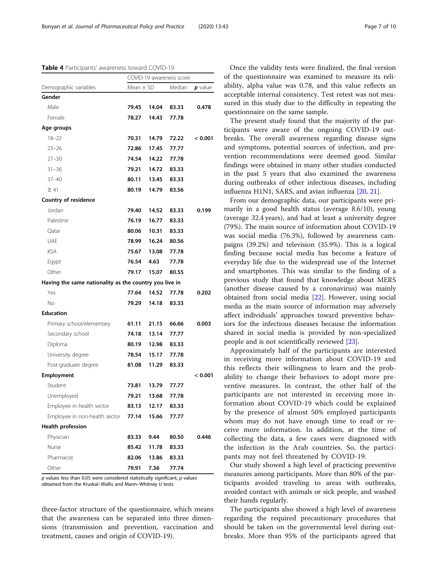#### <span id="page-6-0"></span>Table 4 Participants' awareness toward COVID-19

|                                                        | COVID-19 awareness score |       |        |           |
|--------------------------------------------------------|--------------------------|-------|--------|-----------|
| Demographic variables                                  | Mean $\pm$ SD            |       | Median | $p$ value |
| Gender                                                 |                          |       |        |           |
| Male                                                   | 79.45                    | 14.04 | 83.33  | 0.478     |
| Female                                                 | 78.27                    | 14.43 | 77.78  |           |
| Age groups                                             |                          |       |        |           |
| $18 - 22$                                              | 70.31                    | 14.79 | 72.22  | < 0.001   |
| $23 - 26$                                              | 72.86                    | 17.45 | 77.77  |           |
| $27 - 30$                                              | 74.54                    | 14.22 | 77.78  |           |
| $31 - 36$                                              | 79.21                    | 14.72 | 83.33  |           |
| $37 - 40$                                              | 80.11                    | 13.45 | 83.33  |           |
| $\geq 41$                                              | 80.19                    | 14.79 | 83.56  |           |
| Country of residence                                   |                          |       |        |           |
| Jordan                                                 | 79.40                    | 14.52 | 83.33  | 0.199     |
| Palestine                                              | 76.19                    | 16.77 | 83.33  |           |
| Qatar                                                  | 80.06                    | 10.31 | 83.33  |           |
| UAE                                                    | 78.99                    | 16.24 | 80.56  |           |
| <b>KSA</b>                                             | 75.67                    | 13.08 | 77.78  |           |
| Egypt                                                  | 76.54                    | 4.63  | 77.78  |           |
| Other                                                  | 79.17                    | 15.07 | 80.55  |           |
| Having the same nationality as the country you live in |                          |       |        |           |
| Yes                                                    | 77.64                    | 14.52 | 77.78  | 0.202     |
| No.                                                    | 79.29                    | 14.18 | 83.33  |           |
| <b>Education</b>                                       |                          |       |        |           |
| Primary school/elementary                              | 61.11                    | 21.15 | 66.66  | 0.003     |
| Secondary school                                       | 74.18                    | 13.14 | 77.77  |           |
| Diploma                                                | 80.19                    | 12.98 | 83.33  |           |
| University degree                                      | 78.54                    | 15.17 | 77.78  |           |
| Post-graduate degree                                   | 81.08                    | 11.29 | 83.33  |           |
| Employment                                             |                          |       |        | < 0.001   |
| Student                                                | 73.81                    | 13.79 | 77.77  |           |
| Unemployed                                             | 79.21                    | 13.68 | 77.78  |           |
| Employee in health sector                              | 83.13                    | 12.17 | 83.33  |           |
| Employee in non-health sector                          | 77.14                    | 15.66 | 77.77  |           |
| <b>Health profession</b>                               |                          |       |        |           |
| Physician                                              | 83.33                    | 9.44  | 80.50  | 0.446     |
| Nurse                                                  | 85.42                    | 11.78 | 83.33  |           |
| Pharmacist                                             | 82.06                    | 13.86 | 83.33  |           |
| Other                                                  | 79.91                    | 7.36  | 77.74  |           |

 $p$  values less than 0.05 were considered statistically significant,  $p$  values obtained from the Kruskal–Wallis and Mann–Whitney U tests

three-factor structure of the questionnaire, which means that the awareness can be separated into three dimensions (transmission and prevention, vaccination and treatment, causes and origin of COVID-19).

Once the validity tests were finalized, the final version of the questionnaire was examined to measure its reliability, alpha value was 0.78, and this value reflects an acceptable internal consistency. Test retest was not measured in this study due to the difficulty in repeating the questionnaire on the same sample.

The present study found that the majority of the participants were aware of the ongoing COVID-19 outbreaks. The overall awareness regarding disease signs and symptoms, potential sources of infection, and prevention recommendations were deemed good. Similar findings were obtained in many other studies conducted in the past 5 years that also examined the awareness during outbreaks of other infectious diseases, including influenza H1N1, SARS, and avian influenza [\[20](#page-9-0), [21](#page-9-0)].

From our demographic data, our participants were primarily in a good health status (average 8.6/10), young (average 32.4 years), and had at least a university degree (79%). The main source of information about COVID-19 was social media (76.3%), followed by awareness campaigns (39.2%) and television (35.9%). This is a logical finding because social media has become a feature of everyday life due to the widespread use of the Internet and smartphones. This was similar to the finding of a previous study that found that knowledge about MERS (another disease caused by a coronavirus) was mainly obtained from social media [[22](#page-9-0)]. However, using social media as the main source of information may adversely affect individuals' approaches toward preventive behaviors for the infectious diseases because the information shared in social media is provided by non-specialized people and is not scientifically reviewed [\[23](#page-9-0)].

Approximately half of the participants are interested in receiving more information about COVID-19 and this reflects their willingness to learn and the probability to change their behaviors to adopt more preventive measures. In contrast, the other half of the participants are not interested in receiving more information about COVID-19 which could be explained by the presence of almost 50% employed participants whom may do not have enough time to read or receive more information. In addition, at the time of collecting the data, a few cases were diagnosed with the infection in the Arab countries. So, the participants may not feel threatened by COVID-19.

Our study showed a high level of practicing preventive measures among participants. More than 80% of the participants avoided traveling to areas with outbreaks, avoided contact with animals or sick people, and washed their hands regularly.

The participants also showed a high level of awareness regarding the required precautionary procedures that should be taken on the governmental level during outbreaks. More than 95% of the participants agreed that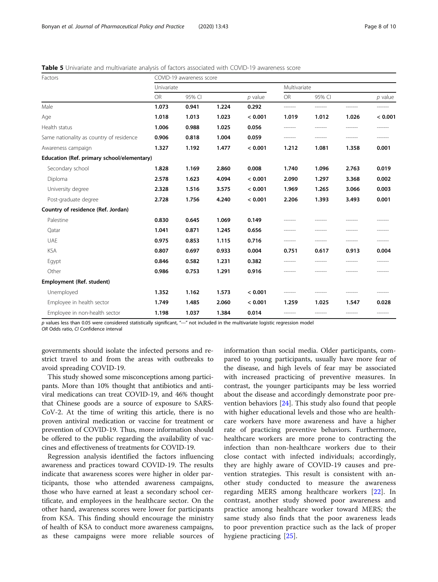<span id="page-7-0"></span>Table 5 Univariate and multivariate analysis of factors associated with COVID-19 awareness score

| Factors                                    | COVID-19 awareness score |            |       |           |           |              |           |         |  |  |
|--------------------------------------------|--------------------------|------------|-------|-----------|-----------|--------------|-----------|---------|--|--|
|                                            |                          | Univariate |       |           |           | Multivariate |           |         |  |  |
|                                            | <b>OR</b>                | 95% CI     |       | $p$ value | <b>OR</b> | 95% CI       | $p$ value |         |  |  |
| Male                                       | 1.073                    | 0.941      | 1.224 | 0.292     | -------   | --------     |           | ------- |  |  |
| Age                                        | 1.018                    | 1.013      | 1.023 | < 0.001   | 1.019     | 1.012        | 1.026     | < 0.001 |  |  |
| Health status                              | 1.006                    | 0.988      | 1.025 | 0.056     |           |              |           |         |  |  |
| Same nationality as country of residence   | 0.906                    | 0.818      | 1.004 | 0.059     |           | -------      | -------   | ------- |  |  |
| Awareness campaign                         | 1.327                    | 1.192      | 1.477 | < 0.001   | 1.212     | 1.081        | 1.358     | 0.001   |  |  |
| Education (Ref. primary school/elementary) |                          |            |       |           |           |              |           |         |  |  |
| Secondary school                           | 1.828                    | 1.169      | 2.860 | 0.008     | 1.740     | 1.096        | 2.763     | 0.019   |  |  |
| Diploma                                    | 2.578                    | 1.623      | 4.094 | < 0.001   | 2.090     | 1.297        | 3.368     | 0.002   |  |  |
| University degree                          | 2.328                    | 1.516      | 3.575 | < 0.001   | 1.969     | 1.265        | 3.066     | 0.003   |  |  |
| Post-graduate degree                       | 2.728                    | 1.756      | 4.240 | < 0.001   | 2.206     | 1.393        | 3.493     | 0.001   |  |  |
| Country of residence (Ref. Jordan)         |                          |            |       |           |           |              |           |         |  |  |
| Palestine                                  | 0.830                    | 0.645      | 1.069 | 0.149     |           |              |           |         |  |  |
| Qatar                                      | 1.041                    | 0.871      | 1.245 | 0.656     |           |              |           |         |  |  |
| <b>UAE</b>                                 | 0.975                    | 0.853      | 1.115 | 0.716     | -------   | --------     | -------   |         |  |  |
| <b>KSA</b>                                 | 0.807                    | 0.697      | 0.933 | 0.004     | 0.751     | 0.617        | 0.913     | 0.004   |  |  |
| Egypt                                      | 0.846                    | 0.582      | 1.231 | 0.382     |           |              |           | ------- |  |  |
| Other                                      | 0.986                    | 0.753      | 1.291 | 0.916     |           |              |           |         |  |  |
| Employment (Ref. student)                  |                          |            |       |           |           |              |           |         |  |  |
| Unemployed                                 | 1.352                    | 1.162      | 1.573 | < 0.001   |           |              |           |         |  |  |
| Employee in health sector                  | 1.749                    | 1.485      | 2.060 | < 0.001   | 1.259     | 1.025        | 1.547     | 0.028   |  |  |
| Employee in non-health sector              | 1.198                    | 1.037      | 1.384 | 0.014     | -------   | -------      | -------   | ------- |  |  |

p values less than 0.05 were considered statistically significant, "---" not included in the multivariate logistic regression model

OR Odds ratio, CI Confidence interval

governments should isolate the infected persons and restrict travel to and from the areas with outbreaks to avoid spreading COVID-19.

This study showed some misconceptions among participants. More than 10% thought that antibiotics and antiviral medications can treat COVID-19, and 46% thought that Chinese goods are a source of exposure to SARS-CoV-2. At the time of writing this article, there is no proven antiviral medication or vaccine for treatment or prevention of COVID-19. Thus, more information should be offered to the public regarding the availability of vaccines and effectiveness of treatments for COVID-19.

Regression analysis identified the factors influencing awareness and practices toward COVID-19. The results indicate that awareness scores were higher in older participants, those who attended awareness campaigns, those who have earned at least a secondary school certificate, and employees in the healthcare sector. On the other hand, awareness scores were lower for participants from KSA. This finding should encourage the ministry of health of KSA to conduct more awareness campaigns, as these campaigns were more reliable sources of information than social media. Older participants, compared to young participants, usually have more fear of the disease, and high levels of fear may be associated with increased practicing of preventive measures. In contrast, the younger participants may be less worried about the disease and accordingly demonstrate poor prevention behaviors [\[24\]](#page-9-0). This study also found that people with higher educational levels and those who are healthcare workers have more awareness and have a higher rate of practicing preventive behaviors. Furthermore, healthcare workers are more prone to contracting the infection than non-healthcare workers due to their close contact with infected individuals; accordingly, they are highly aware of COVID-19 causes and prevention strategies. This result is consistent with another study conducted to measure the awareness regarding MERS among healthcare workers [\[22](#page-9-0)]. In contrast, another study showed poor awareness and practice among healthcare worker toward MERS; the same study also finds that the poor awareness leads to poor prevention practice such as the lack of proper hygiene practicing [[25](#page-9-0)].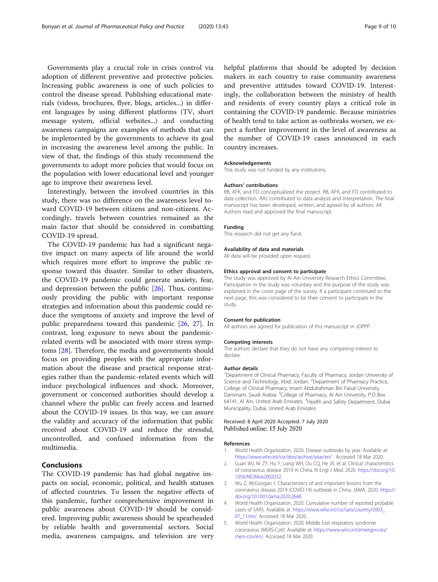<span id="page-8-0"></span>Governments play a crucial role in crisis control via adoption of different preventive and protective policies. Increasing public awareness is one of such policies to control the disease spread. Publishing educational materials (videos, brochures, flyer, blogs, articles...) in different languages by using different platforms (TV, short message system, official websites...) and conducting awareness campaigns are examples of methods that can be implemented by the governments to achieve its goal in increasing the awareness level among the public. In view of that, the findings of this study recommend the governments to adopt more policies that would focus on the population with lower educational level and younger age to improve their awareness level.

Interestingly, between the involved countries in this study, there was no difference on the awareness level toward COVID-19 between citizens and non-citizens. Accordingly, travels between countries remained as the main factor that should be considered in combatting COVID-19 spread.

The COVID-19 pandemic has had a significant negative impact on many aspects of life around the world which requires more effort to improve the public response toward this disaster. Similar to other disasters, the COVID-19 pandemic could generate anxiety, fear, and depression between the public [[26](#page-9-0)]. Thus, continuously providing the public with important response strategies and information about this pandemic could reduce the symptoms of anxiety and improve the level of public preparedness toward this pandemic [\[26](#page-9-0), [27\]](#page-9-0). In contrast, long exposure to news about the pandemicrelated events will be associated with more stress symptoms [[28\]](#page-9-0). Therefore, the media and governments should focus on providing peoples with the appropriate information about the disease and practical response strategies rather than the pandemic-related events which will induce psychological influences and shock. Moreover, government or concerned authorities should develop a channel where the public can freely access and learned about the COVID-19 issues. In this way, we can assure the validity and accuracy of the information that public received about COVID-19 and reduce the stressful, uncontrolled, and confused information from the multimedia.

#### Conclusions

The COVID-19 pandemic has had global negative impacts on social, economic, political, and health statuses of affected countries. To lessen the negative effects of this pandemic, further comprehensive improvement in public awareness about COVID-19 should be considered. Improving public awareness should be spearheaded by reliable health and governmental sectors. Social media, awareness campaigns, and television are very helpful platforms that should be adopted by decision makers in each country to raise community awareness and preventive attitudes toward COVID-19. Interestingly, the collaboration between the ministry of health and residents of every country plays a critical role in containing the COVID-19 pandemic. Because ministries of health tend to take action as outbreaks worsen, we expect a further improvement in the level of awareness as the number of COVID-19 cases announced in each country increases.

#### Acknowledgements

This study was not funded by any institutions.

#### Authors' contributions

RB, AFK, and FD conceptualized the project. RB, AFK, and FD contributed to data collection. AAJ contributed to data analysis and interpretation. The final manuscript has been developed, written, and agreed by all authors. All Authors read and approved the final manuscript.

#### Funding

This research did not get any fund.

#### Availability of data and materials

All data will be provided upon request.

#### Ethics approval and consent to participate

The study was approved by Al Ain University Research Ethics Committee. Participation in the study was voluntary and the purpose of the study was explained in the cover page of the survey. If a participant continued to the next page, this was considered to be their consent to participate in the study.

#### Consent for publication

All authors are agreed for publication of this manuscript in JOPPP.

#### Competing interests

The authors declare that they do not have any competing interest to declare.

#### Author details

<sup>1</sup>Department of Clinical Pharmacy, Faculty of Pharmacy, Jordan University of Science and Technology, Irbid, Jordan. <sup>2</sup> Department of Pharmacy Practice College of Clinical Pharmacy, Imam Abdulrahman Bin Faisal University, Dammam, Saudi Arabia. <sup>3</sup>College of Pharmacy, Al Ain University, P.O Box 64141, Al Ain, United Arab Emirates. <sup>4</sup> Health and Safety Department, Dubai Municipality, Dubai, United Arab Emirates.

#### Received: 8 April 2020 Accepted: 7 July 2020 Published online: 15 July 2020

#### References

- 1. World Health Organization. 2020. Disease outbreaks by year. Available at: <https://www.who.int/csr/don/archive/year/en/> . Accessed 18 Mar 2020.
- Guan WJ, Ni ZY, Hu Y, Liang WH, Ou CQ, He JX, et al. Clinical characteristics of coronavirus disease 2019 in China. N Engl J Med. 2020. [https://doi.org/10.](https://doi.org/10.1056/NEJMoa2002032) [1056/NEJMoa2002032](https://doi.org/10.1056/NEJMoa2002032).
- 3. Wu Z, McGoogan J. Characteristics of and important lessons from the coronavirus disease 2019 (COVID-19) outbreak in China. JAMA. 2020. [https://](https://doi.org/10.1001/jama.2020.2648) [doi.org/10.1001/jama.2020.2648.](https://doi.org/10.1001/jama.2020.2648)
- 4. World Health Organization. 2020. Cumulative number of reported probable cases of SARS. Available at: [https://www.who.int/csr/sars/country/2003\\_](https://www.who.int/csr/sars/country/2003_07_11/en/) [07\\_11/en/](https://www.who.int/csr/sars/country/2003_07_11/en/). Accessed 18 Mar 2020.
- 5. World Health Organization. 2020. Middle East respiratory syndrome coronavirus (MERS-CoV). Available at: [https://www.who.int/emergencies/](https://www.who.int/emergencies/mers-cov/en/) [mers-cov/en/.](https://www.who.int/emergencies/mers-cov/en/) Accessed 18 Mar 2020.